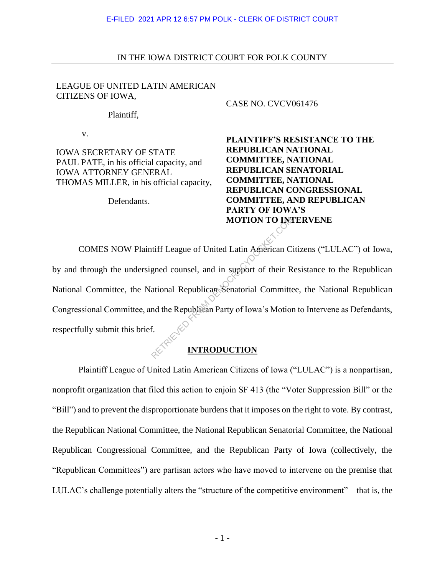### IN THE IOWA DISTRICT COURT FOR POLK COUNTY

### LEAGUE OF UNITED LATIN AMERICAN CITIZENS OF IOWA,

Plaintiff,

v.

IOWA SECRETARY OF STATE PAUL PATE, in his official capacity, and IOWA ATTORNEY GENERAL THOMAS MILLER, in his official capacity,

Defendants.

### CASE NO. CVCV061476

**PLAINTIFF'S RESISTANCE TO THE REPUBLICAN NATIONAL COMMITTEE, NATIONAL REPUBLICAN SENATORIAL COMMITTEE, NATIONAL REPUBLICAN CONGRESSIONAL COMMITTEE, AND REPUBLICAN PARTY OF IOWA'S MOTION TO INTERVENE** 

COMES NOW Plaintiff League of United Latin American Citizens ("LULAC") of Iowa, by and through the undersigned counsel, and in support of their Resistance to the Republican National Committee, the National Republican Senatorial Committee, the National Republican Congressional Committee, and the Republican Party of Iowa's Motion to Intervene as Defendants, respectfully submit this brief. MOTION TO INCREAD<br>
Interface of United Latin American Contract Contract Contract Contract Contract Contract Contract Contract Contract Contract Contract Contract Contract Contract Contract Contract Contract Contract Contra

# **INTRODUCTION**

Plaintiff League of United Latin American Citizens of Iowa ("LULAC") is a nonpartisan, nonprofit organization that filed this action to enjoin SF 413 (the "Voter Suppression Bill" or the "Bill") and to prevent the disproportionate burdens that it imposes on the right to vote. By contrast, the Republican National Committee, the National Republican Senatorial Committee, the National Republican Congressional Committee, and the Republican Party of Iowa (collectively, the "Republican Committees") are partisan actors who have moved to intervene on the premise that LULAC's challenge potentially alters the "structure of the competitive environment"—that is, the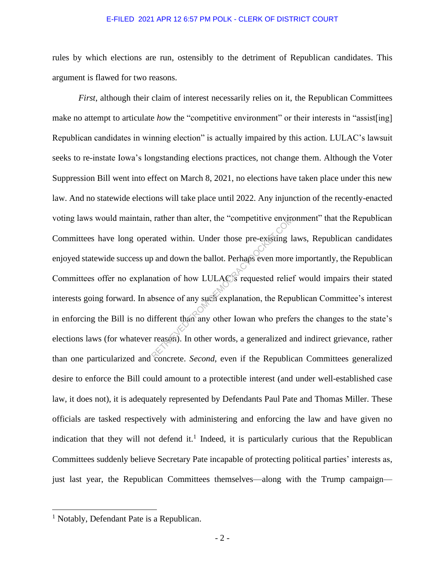rules by which elections are run, ostensibly to the detriment of Republican candidates. This argument is flawed for two reasons.

*First*, although their claim of interest necessarily relies on it, the Republican Committees make no attempt to articulate *how* the "competitive environment" or their interests in "assist[ing] Republican candidates in winning election" is actually impaired by this action. LULAC's lawsuit seeks to re-instate Iowa's longstanding elections practices, not change them. Although the Voter Suppression Bill went into effect on March 8, 2021, no elections have taken place under this new law. And no statewide elections will take place until 2022. Any injunction of the recently-enacted voting laws would maintain, rather than alter, the "competitive environment" that the Republican Committees have long operated within. Under those pre-existing laws, Republican candidates enjoyed statewide success up and down the ballot. Perhaps even more importantly, the Republican Committees offer no explanation of how LULAC's requested relief would impairs their stated interests going forward. In absence of any such explanation, the Republican Committee's interest in enforcing the Bill is no different than any other Iowan who prefers the changes to the state's elections laws (for whatever reason). In other words, a generalized and indirect grievance, rather than one particularized and concrete. *Second*, even if the Republican Committees generalized desire to enforce the Bill could amount to a protectible interest (and under well-established case law, it does not), it is adequately represented by Defendants Paul Pate and Thomas Miller. These officials are tasked respectively with administering and enforcing the law and have given no indication that they will not defend it.<sup>1</sup> Indeed, it is particularly curious that the Republican Committees suddenly believe Secretary Pate incapable of protecting political parties' interests as, just last year, the Republican Committees themselves—along with the Trump campaign rather than alter, the "competitive environment<br>cated within. Under those pre-existing 1<br>b and down the ballot. Perhaps even more<br>nation of how LULAC's requested relies<br>bsence of any such explanation, the Republic<br>ifferent

<sup>&</sup>lt;sup>1</sup> Notably, Defendant Pate is a Republican.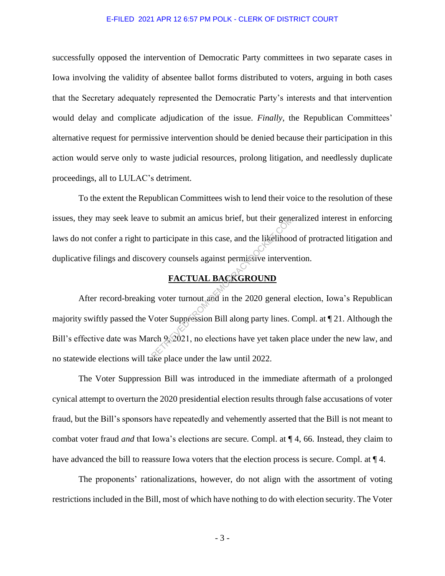successfully opposed the intervention of Democratic Party committees in two separate cases in Iowa involving the validity of absentee ballot forms distributed to voters, arguing in both cases that the Secretary adequately represented the Democratic Party's interests and that intervention would delay and complicate adjudication of the issue. *Finally*, the Republican Committees' alternative request for permissive intervention should be denied because their participation in this action would serve only to waste judicial resources, prolong litigation, and needlessly duplicate proceedings, all to LULAC's detriment.

To the extent the Republican Committees wish to lend their voice to the resolution of these issues, they may seek leave to submit an amicus brief, but their generalized interest in enforcing laws do not confer a right to participate in this case, and the likelihood of protracted litigation and duplicative filings and discovery counsels against permissive intervention.

## **FACTUAL BACKGROUND**

After record-breaking voter turnout and in the 2020 general election, Iowa's Republican majority swiftly passed the Voter Suppression Bill along party lines. Compl. at ¶ 21. Although the Bill's effective date was March 9, 2021, no elections have yet taken place under the new law, and no statewide elections will take place under the law until 2022. to submit an amicus brief, but their gene<br>participate in this case, and the likelihoo<br>very counsels against permissive interver<br>**EACTUAL BACKGROUND**<br>g voter turnout and in the 2020 general<br>voter Suppression Bill along part

The Voter Suppression Bill was introduced in the immediate aftermath of a prolonged cynical attempt to overturn the 2020 presidential election results through false accusations of voter fraud, but the Bill's sponsors have repeatedly and vehemently asserted that the Bill is not meant to combat voter fraud *and* that Iowa's elections are secure. Compl. at ¶ 4, 66. Instead, they claim to have advanced the bill to reassure Iowa voters that the election process is secure. Compl. at  $\P$  4.

The proponents' rationalizations, however, do not align with the assortment of voting restrictions included in the Bill, most of which have nothing to do with election security. The Voter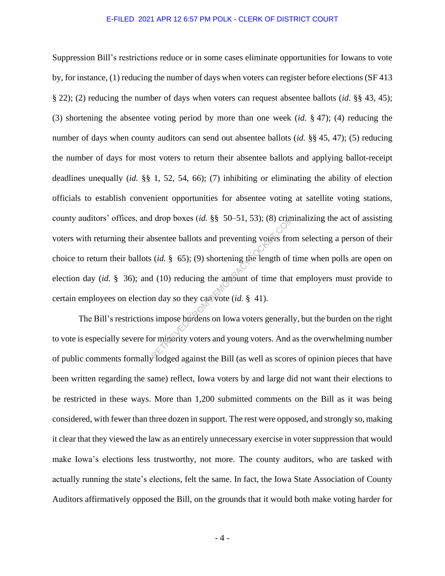Suppression Bill's restrictions reduce or in some cases eliminate opportunities for Iowans to vote by, for instance, (1) reducing the number of days when voters can register before elections (SF 413 § 22); (2) reducing the number of days when voters can request absentee ballots (*id.* §§ 43, 45); (3) shortening the absentee voting period by more than one week (*id.* § 47); (4) reducing the number of days when county auditors can send out absentee ballots (*id.* §§ 45, 47); (5) reducing the number of days for most voters to return their absentee ballots and applying ballot-receipt deadlines unequally (*id.* §§ 1, 52, 54, 66); (7) inhibiting or eliminating the ability of election officials to establish convenient opportunities for absentee voting at satellite voting stations, county auditors' offices, and drop boxes (*id.* §§ 50–51, 53); (8) criminalizing the act of assisting voters with returning their absentee ballots and preventing voters from selecting a person of their choice to return their ballots (*id.* § 65); (9) shortening the length of time when polls are open on election day (*id.* § 36); and (10) reducing the amount of time that employers must provide to certain employees on election day so they can vote (*id.* § 41). Express (*id.* §§ 50–51, 53); (8) crum<br>bsentee ballots and preventing voters from<br> $(id. \S 65)$ ; (9) shortening the length of<br> $d$  (10) reducing the amount of time that<br>an day so they can vote (*id.* § 41).<br>simpose burdens on

The Bill's restrictions impose burdens on Iowa voters generally, but the burden on the right to vote is especially severe for minority voters and young voters. And as the overwhelming number of public comments formally lodged against the Bill (as well as scores of opinion pieces that have been written regarding the same) reflect, Iowa voters by and large did not want their elections to be restricted in these ways. More than 1,200 submitted comments on the Bill as it was being considered, with fewer than three dozen in support. The rest were opposed, and strongly so, making it clear that they viewed the law as an entirely unnecessary exercise in voter suppression that would make Iowa's elections less trustworthy, not more. The county auditors, who are tasked with actually running the state's elections, felt the same. In fact, the Iowa State Association of County Auditors affirmatively opposed the Bill, on the grounds that it would both make voting harder for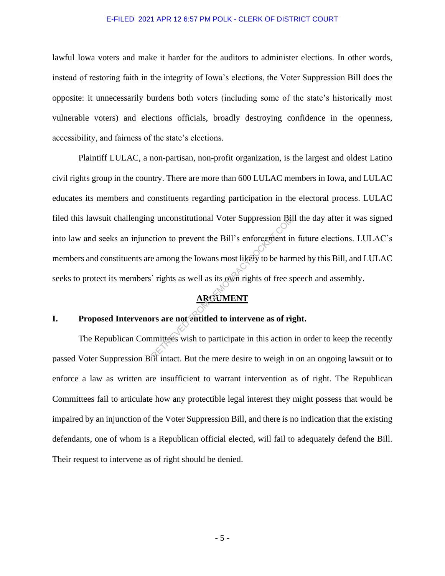lawful Iowa voters and make it harder for the auditors to administer elections. In other words, instead of restoring faith in the integrity of Iowa's elections, the Voter Suppression Bill does the opposite: it unnecessarily burdens both voters (including some of the state's historically most vulnerable voters) and elections officials, broadly destroying confidence in the openness, accessibility, and fairness of the state's elections.

Plaintiff LULAC, a non-partisan, non-profit organization, is the largest and oldest Latino civil rights group in the country. There are more than 600 LULAC members in Iowa, and LULAC educates its members and constituents regarding participation in the electoral process. LULAC filed this lawsuit challenging unconstitutional Voter Suppression Bill the day after it was signed into law and seeks an injunction to prevent the Bill's enforcement in future elections. LULAC's members and constituents are among the Iowans most likely to be harmed by this Bill, and LULAC seeks to protect its members' rights as well as its own rights of free speech and assembly. g unconstitutional Voter Suppression Bat<br>
etion to prevent the Bill's enforcement in<br>
e among the Iowans most likely to be harr<br>
'rights as well as its own rights of free sp<br> **ARGUMENT**<br>
FROM DEMOCRACY<br>
The same as of righ

# **ARGUMENT**

### **I. Proposed Intervenors are not entitled to intervene as of right.**

The Republican Committees wish to participate in this action in order to keep the recently passed Voter Suppression Bill intact. But the mere desire to weigh in on an ongoing lawsuit or to enforce a law as written are insufficient to warrant intervention as of right. The Republican Committees fail to articulate how any protectible legal interest they might possess that would be impaired by an injunction of the Voter Suppression Bill, and there is no indication that the existing defendants, one of whom is a Republican official elected, will fail to adequately defend the Bill. Their request to intervene as of right should be denied.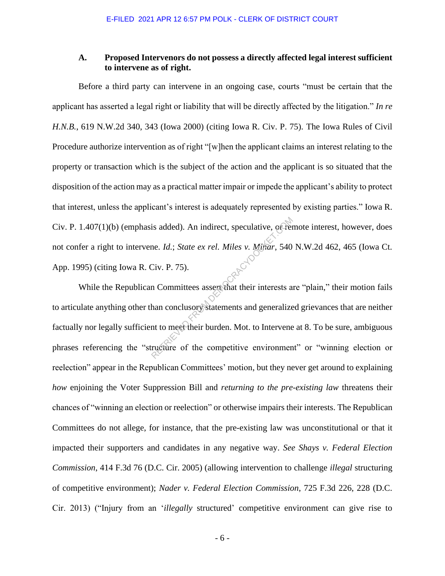### **A. Proposed Intervenors do not possess a directly affected legal interest sufficient to intervene as of right.**

Before a third party can intervene in an ongoing case, courts "must be certain that the applicant has asserted a legal right or liability that will be directly affected by the litigation." *In re H.N.B.*, 619 N.W.2d 340, 343 (Iowa 2000) (citing Iowa R. Civ. P. 75). The Iowa Rules of Civil Procedure authorize intervention as of right "[w]hen the applicant claims an interest relating to the property or transaction which is the subject of the action and the applicant is so situated that the disposition of the action may as a practical matter impair or impede the applicant's ability to protect that interest, unless the applicant's interest is adequately represented by existing parties." Iowa R. Civ. P. 1.407(1)(b) (emphasis added). An indirect, speculative, or remote interest, however, does not confer a right to intervene. *Id.*; *State ex rel. Miles v. Minar*, 540 N.W.2d 462, 465 (Iowa Ct. App. 1995) (citing Iowa R. Civ. P. 75).

While the Republican Committees assert that their interests are "plain," their motion fails to articulate anything other than conclusory statements and generalized grievances that are neither factually nor legally sufficient to meet their burden. Mot. to Intervene at 8. To be sure, ambiguous phrases referencing the "structure of the competitive environment" or "winning election or reelection" appear in the Republican Committees' motion, but they never get around to explaining *how* enjoining the Voter Suppression Bill and *returning to the pre-existing law* threatens their chances of "winning an election or reelection" or otherwise impairs their interests. The Republican Committees do not allege, for instance, that the pre-existing law was unconstitutional or that it impacted their supporters and candidates in any negative way. *See Shays v. Federal Election Commission*, 414 F.3d 76 (D.C. Cir. 2005) (allowing intervention to challenge *illegal* structuring of competitive environment); *Nader v. Federal Election Commission*, 725 F.3d 226, 228 (D.C. Cir. 2013) ("Injury from an '*illegally* structured' competitive environment can give rise to is added). An indirect, speculative, offer<br>ne. Id.; State ex rel. Miles v. Minar, 540<br>Civ. P. 75).<br>n Committees assert that their interests a<br>han conclusory statements and generalize<br>nt to meet their burden. Mot. to Interv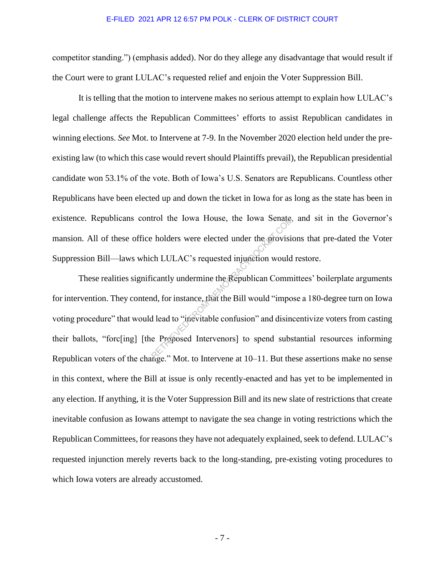competitor standing.") (emphasis added). Nor do they allege any disadvantage that would result if the Court were to grant LULAC's requested relief and enjoin the Voter Suppression Bill.

It is telling that the motion to intervene makes no serious attempt to explain how LULAC's legal challenge affects the Republican Committees' efforts to assist Republican candidates in winning elections. *See* Mot. to Intervene at 7-9. In the November 2020 election held under the preexisting law (to which this case would revert should Plaintiffs prevail), the Republican presidential candidate won 53.1% of the vote. Both of Iowa's U.S. Senators are Republicans. Countless other Republicans have been elected up and down the ticket in Iowa for as long as the state has been in existence. Republicans control the Iowa House, the Iowa Senate, and sit in the Governor's mansion. All of these office holders were elected under the provisions that pre-dated the Voter Suppression Bill—laws which LULAC's requested injunction would restore.

These realities significantly undermine the Republican Committees' boilerplate arguments for intervention. They contend, for instance, that the Bill would "impose a 180-degree turn on Iowa voting procedure" that would lead to "inevitable confusion" and disincentivize voters from casting their ballots, "forc[ing] [the Proposed Intervenors] to spend substantial resources informing Republican voters of the change." Mot. to Intervene at 10–11. But these assertions make no sense in this context, where the Bill at issue is only recently-enacted and has yet to be implemented in any election. If anything, it is the Voter Suppression Bill and its new slate of restrictions that create inevitable confusion as Iowans attempt to navigate the sea change in voting restrictions which the Republican Committees, for reasons they have not adequately explained, seek to defend. LULAC's requested injunction merely reverts back to the long-standing, pre-existing voting procedures to which Iowa voters are already accustomed. reflected under the provision bolders were elected under the provision<br>ch LULAC's requested injunction would<br>icantly undermine the Republican Comm<br>nd, for instance, that the Bill would "impo<br>d lead to "inevitable confusion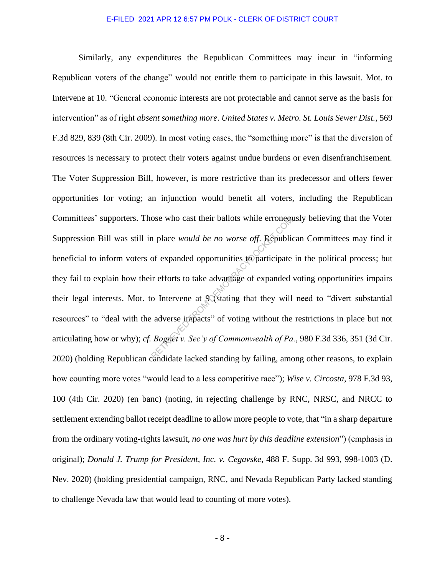Similarly, any expenditures the Republican Committees may incur in "informing Republican voters of the change" would not entitle them to participate in this lawsuit. Mot. to Intervene at 10. "General economic interests are not protectable and cannot serve as the basis for intervention" as of right *absent something more*. *United States v. Metro. St. Louis Sewer Dist.*, 569 F.3d 829, 839 (8th Cir. 2009). In most voting cases, the "something more" is that the diversion of resources is necessary to protect their voters against undue burdens or even disenfranchisement. The Voter Suppression Bill, however, is more restrictive than its predecessor and offers fewer opportunities for voting; an injunction would benefit all voters, including the Republican Committees' supporters. Those who cast their ballots while erroneously believing that the Voter Suppression Bill was still in place *would be no worse off*. Republican Committees may find it beneficial to inform voters of expanded opportunities to participate in the political process; but they fail to explain how their efforts to take advantage of expanded voting opportunities impairs their legal interests. Mot. to Intervene at 9 (stating that they will need to "divert substantial resources" to "deal with the adverse impacts" of voting without the restrictions in place but not articulating how or why); *cf. Bognet v. Sec'y of Commonwealth of Pa.*, 980 F.3d 336, 351 (3d Cir. 2020) (holding Republican candidate lacked standing by failing, among other reasons, to explain how counting more votes "would lead to a less competitive race"); *Wise v. Circosta*, 978 F.3d 93, 100 (4th Cir. 2020) (en banc) (noting, in rejecting challenge by RNC, NRSC, and NRCC to settlement extending ballot receipt deadline to allow more people to vote, that "in a sharp departure from the ordinary voting-rights lawsuit, *no one was hurt by this deadline extension*") (emphasis in original); *Donald J. Trump for President, Inc. v. Cegavske*, 488 F. Supp. 3d 993, 998-1003 (D. Nev. 2020) (holding presidential campaign, RNC, and Nevada Republican Party lacked standing to challenge Nevada law that would lead to counting of more votes). Sose who cast their ballots while errone<br>
a place *would be no worse off*. Republic<br>
of expanded opportunities to participate<br>
ir efforts to take advantage of expanded<br>
o Intervene at 9 (stating that they will<br>
adverse imp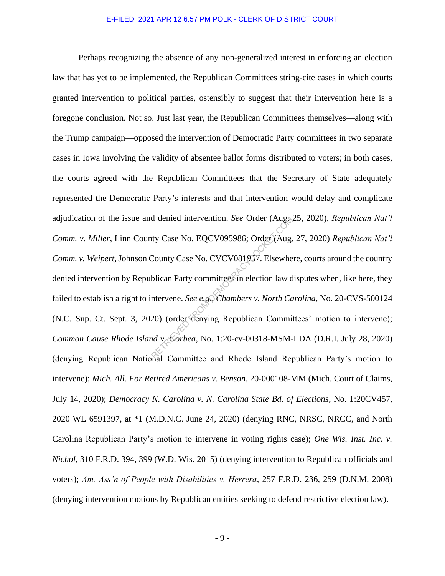Perhaps recognizing the absence of any non-generalized interest in enforcing an election law that has yet to be implemented, the Republican Committees string-cite cases in which courts granted intervention to political parties, ostensibly to suggest that their intervention here is a foregone conclusion. Not so. Just last year, the Republican Committees themselves—along with the Trump campaign—opposed the intervention of Democratic Party committees in two separate cases in Iowa involving the validity of absentee ballot forms distributed to voters; in both cases, the courts agreed with the Republican Committees that the Secretary of State adequately represented the Democratic Party's interests and that intervention would delay and complicate adjudication of the issue and denied intervention. *See* Order (Aug. 25, 2020), *Republican Nat'l Comm. v. Miller*, Linn County Case No. EQCV095986; Order (Aug. 27, 2020) *Republican Nat'l Comm. v. Weipert*, Johnson County Case No. CVCV081957. Elsewhere, courts around the country denied intervention by Republican Party committees in election law disputes when, like here, they failed to establish a right to intervene. *See e.g.*, *Chambers v. North Carolina*, No. 20-CVS-500124 (N.C. Sup. Ct. Sept. 3, 2020) (order denying Republican Committees' motion to intervene); *Common Cause Rhode Island v. Gorbea*, No. 1:20-cv-00318-MSM-LDA (D.R.I. July 28, 2020) (denying Republican National Committee and Rhode Island Republican Party's motion to intervene); *Mich. All. For Retired Americans v. Benson*, 20-000108-MM (Mich. Court of Claims, July 14, 2020); *Democracy N. Carolina v. N. Carolina State Bd. of Elections*, No. 1:20CV457, 2020 WL 6591397, at \*1 (M.D.N.C. June 24, 2020) (denying RNC, NRSC, NRCC, and North Carolina Republican Party's motion to intervene in voting rights case); *One Wis. Inst. Inc. v. Nichol*, 310 F.R.D. 394, 399 (W.D. Wis. 2015) (denying intervention to Republican officials and voters); *Am. Ass'n of People with Disabilities v. Herrera*, 257 F.R.D. 236, 259 (D.N.M. 2008) (denying intervention motions by Republican entities seeking to defend restrictive election law). d denied intervention. *See* Order (Aug.)<br>ty Case No. EQCV095986; Order (Aug.)<br>County Case No. CVCV081957. Elsewhere<br>blican Party committees in election law d<br>ntervene. *See e.g., Chambers v. North Ca*<br>20) (order denying R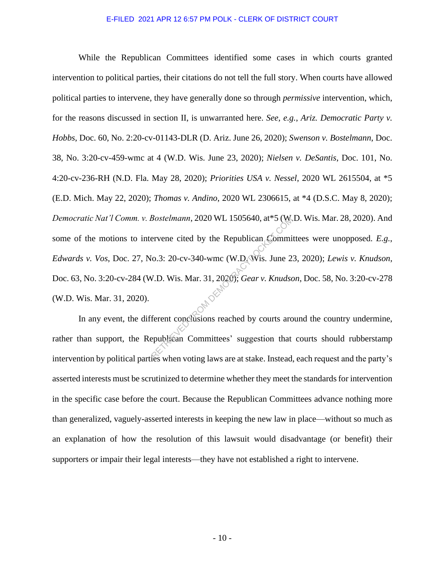While the Republican Committees identified some cases in which courts granted intervention to political parties, their citations do not tell the full story. When courts have allowed political parties to intervene, they have generally done so through *permissive* intervention, which, for the reasons discussed in section II, is unwarranted here. *See, e.g.*, *Ariz. Democratic Party v. Hobbs*, Doc. 60, No. 2:20-cv-01143-DLR (D. Ariz. June 26, 2020); *Swenson v. Bostelmann*, Doc. 38, No. 3:20-cv-459-wmc at 4 (W.D. Wis. June 23, 2020); *Nielsen v. DeSantis*, Doc. 101, No. 4:20-cv-236-RH (N.D. Fla. May 28, 2020); *Priorities USA v. Nessel*, 2020 WL 2615504, at \*5 (E.D. Mich. May 22, 2020); *Thomas v. Andino*, 2020 WL 2306615, at \*4 (D.S.C. May 8, 2020); *Democratic Nat'l Comm. v. Bostelmann*, 2020 WL 1505640, at\*5 (W.D. Wis. Mar. 28, 2020). And some of the motions to intervene cited by the Republican Committees were unopposed. *E.g.*, *Edwards v. Vos*, Doc. 27, No.3: 20-cv-340-wmc (W.D. Wis. June 23, 2020); *Lewis v. Knudson*, Doc. 63, No. 3:20-cv-284 (W.D. Wis. Mar. 31, 2020); *Gear v. Knudson*, Doc. 58, No. 3:20-cv-278 (W.D. Wis. Mar. 31, 2020). Bostelmann, 2020 WL 1505640, at\*5 (We<br>
ervene cited by the Republican Commi<br>
[0.3: 20-cv-340-wmc (W.D. Wis. June 2<br>
V.D. Wis. Mar. 31, 2020); *Gear v. Knudse*<br>
ferent conclusions reached by courts are<br>
publican Committees

In any event, the different conclusions reached by courts around the country undermine, rather than support, the Republican Committees' suggestion that courts should rubberstamp intervention by political parties when voting laws are at stake. Instead, each request and the party's asserted interests must be scrutinized to determine whether they meet the standards for intervention in the specific case before the court. Because the Republican Committees advance nothing more than generalized, vaguely-asserted interests in keeping the new law in place—without so much as an explanation of how the resolution of this lawsuit would disadvantage (or benefit) their supporters or impair their legal interests—they have not established a right to intervene.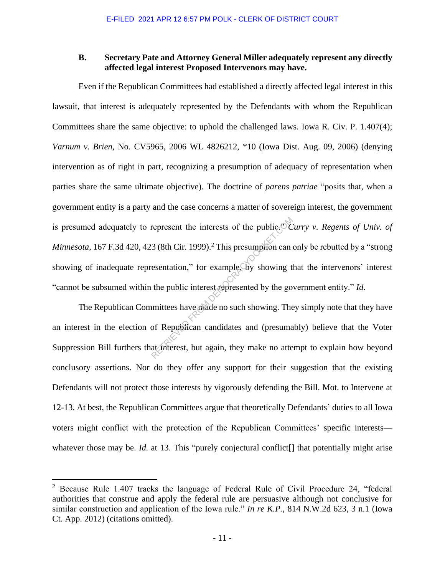### **B. Secretary Pate and Attorney General Miller adequately represent any directly affected legal interest Proposed Intervenors may have.**

Even if the Republican Committees had established a directly affected legal interest in this lawsuit, that interest is adequately represented by the Defendants with whom the Republican Committees share the same objective: to uphold the challenged laws. Iowa R. Civ. P. 1.407(4); *Varnum v. Brien*, No. CV5965, 2006 WL 4826212, \*10 (Iowa Dist. Aug. 09, 2006) (denying intervention as of right in part, recognizing a presumption of adequacy of representation when parties share the same ultimate objective). The doctrine of *parens patriae* "posits that, when a government entity is a party and the case concerns a matter of sovereign interest, the government is presumed adequately to represent the interests of the public." *Curry v. Regents of Univ. of Minnesota*, 167 F.3d 420, 423 (8th Cir. 1999).<sup>2</sup> This presumption can only be rebutted by a "strong showing of inadequate representation," for example, by showing that the intervenors' interest "cannot be subsumed within the public interest represented by the government entity." *Id.*  represent the interests of the public.<sup>97</sup> $\overline{C}$ <br>3 (8th Cir. 1999).<sup>2</sup> This presumption can essentation," for example by showing the public interest represented by the gouinttees have made no such showing. The of Republ

The Republican Committees have made no such showing. They simply note that they have an interest in the election of Republican candidates and (presumably) believe that the Voter Suppression Bill furthers that interest, but again, they make no attempt to explain how beyond conclusory assertions. Nor do they offer any support for their suggestion that the existing Defendants will not protect those interests by vigorously defending the Bill. Mot. to Intervene at 12-13. At best, the Republican Committees argue that theoretically Defendants' duties to all Iowa voters might conflict with the protection of the Republican Committees' specific interests whatever those may be. *Id.* at 13. This "purely conjectural conflict<sup>[]</sup> that potentially might arise

<sup>2</sup> Because Rule 1.407 tracks the language of Federal Rule of Civil Procedure 24, "federal authorities that construe and apply the federal rule are persuasive although not conclusive for similar construction and application of the Iowa rule." *In re K.P.*, 814 N.W.2d 623, 3 n.1 (Iowa Ct. App. 2012) (citations omitted).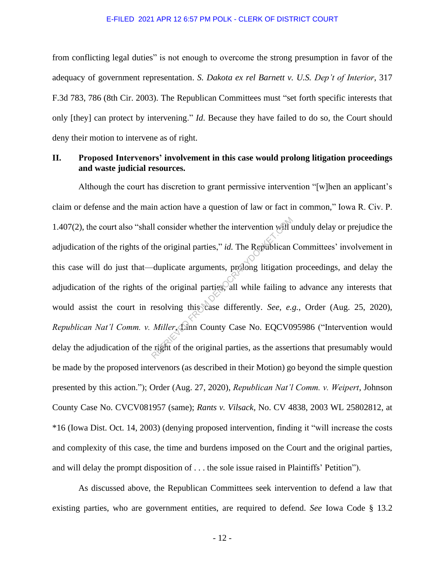from conflicting legal duties" is not enough to overcome the strong presumption in favor of the adequacy of government representation. *S. Dakota ex rel Barnett v. U.S. Dep't of Interior*, 317 F.3d 783, 786 (8th Cir. 2003). The Republican Committees must "set forth specific interests that only [they] can protect by intervening." *Id*. Because they have failed to do so, the Court should deny their motion to intervene as of right.

### **II. Proposed Intervenors' involvement in this case would prolong litigation proceedings and waste judicial resources.**

Although the court has discretion to grant permissive intervention "[w]hen an applicant's claim or defense and the main action have a question of law or fact in common," Iowa R. Civ. P. 1.407(2), the court also "shall consider whether the intervention will unduly delay or prejudice the adjudication of the rights of the original parties," *id.* The Republican Committees' involvement in this case will do just that—duplicate arguments, prolong litigation proceedings, and delay the adjudication of the rights of the original parties, all while failing to advance any interests that would assist the court in resolving this case differently. *See, e.g.*, Order (Aug. 25, 2020), *Republican Nat'l Comm. v. Miller*, Linn County Case No. EQCV095986 ("Intervention would delay the adjudication of the right of the original parties, as the assertions that presumably would be made by the proposed intervenors (as described in their Motion) go beyond the simple question presented by this action."); Order (Aug. 27, 2020), *Republican Nat'l Comm. v. Weipert*, Johnson County Case No. CVCV081957 (same); *Rants v. Vilsack*, No. CV 4838, 2003 WL 25802812, at \*16 (Iowa Dist. Oct. 14, 2003) (denying proposed intervention, finding it "will increase the costs and complexity of this case, the time and burdens imposed on the Court and the original parties, and will delay the prompt disposition of . . . the sole issue raised in Plaintiffs' Petition"). Il consider whether the intervention will use the original parties," *id*. The Republican duplicate arguments, prolong litigation of the original parties, all while failing to resolving this case differently. *See, e.g.*

As discussed above, the Republican Committees seek intervention to defend a law that existing parties, who are government entities, are required to defend. *See* Iowa Code § 13.2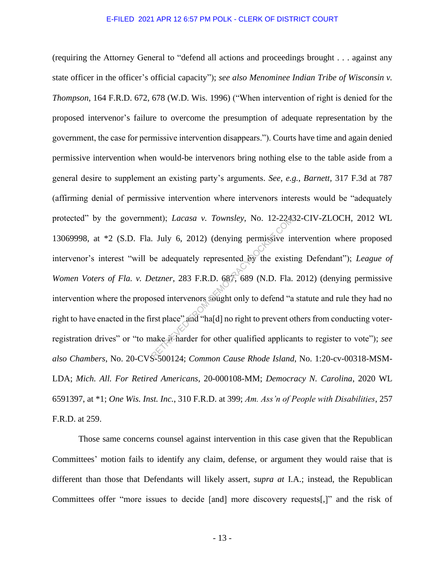(requiring the Attorney General to "defend all actions and proceedings brought . . . against any state officer in the officer's official capacity"); *see also Menominee Indian Tribe of Wisconsin v. Thompson*, 164 F.R.D. 672, 678 (W.D. Wis. 1996) ("When intervention of right is denied for the proposed intervenor's failure to overcome the presumption of adequate representation by the government, the case for permissive intervention disappears."). Courts have time and again denied permissive intervention when would-be intervenors bring nothing else to the table aside from a general desire to supplement an existing party's arguments. *See, e.g.*, *Barnett,* 317 F.3d at 787 (affirming denial of permissive intervention where intervenors interests would be "adequately protected" by the government); *Lacasa v. Townsley*, No. 12-22432-CIV-ZLOCH, 2012 WL 13069998, at \*2 (S.D. Fla. July 6, 2012) (denying permissive intervention where proposed intervenor's interest "will be adequately represented by the existing Defendant"); *League of Women Voters of Fla. v. Detzner*, 283 F.R.D. 687, 689 (N.D. Fla. 2012) (denying permissive intervention where the proposed intervenors sought only to defend "a statute and rule they had no right to have enacted in the first place" and "ha[d] no right to prevent others from conducting voterregistration drives" or "to make it harder for other qualified applicants to register to vote"); *see also Chambers*, No. 20-CVS-500124; *Common Cause Rhode Island*, No. 1:20-cv-00318-MSM-LDA; *Mich. All. For Retired Americans*, 20-000108-MM; *Democracy N. Carolina*, 2020 WL 6591397, at \*1; *One Wis. Inst. Inc.*, 310 F.R.D. at 399; *Am. Ass'n of People with Disabilities*, 257 F.R.D. at 259. ent); *Lacasa v. Townsley*, No. 12-224.<br>July 6, 2012) (denying permissive ir one adequately represented by the existing external external extends of the existing extends intervenors sought only to defend "and "hald no righ

Those same concerns counsel against intervention in this case given that the Republican Committees' motion fails to identify any claim, defense, or argument they would raise that is different than those that Defendants will likely assert, *supra at* I.A.; instead, the Republican Committees offer "more issues to decide [and] more discovery requests[,]" and the risk of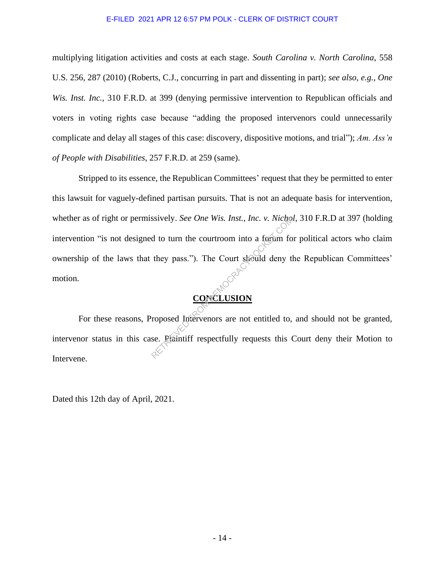multiplying litigation activities and costs at each stage. *South Carolina v. North Carolina*, 558 U.S. 256, 287 (2010) (Roberts, C.J., concurring in part and dissenting in part); *see also, e.g.*, *One Wis. Inst. Inc.*, 310 F.R.D. at 399 (denying permissive intervention to Republican officials and voters in voting rights case because "adding the proposed intervenors could unnecessarily complicate and delay all stages of this case: discovery, dispositive motions, and trial"); *Am. Ass'n of People with Disabilities*, 257 F.R.D. at 259 (same).

Stripped to its essence, the Republican Committees' request that they be permitted to enter this lawsuit for vaguely-defined partisan pursuits. That is not an adequate basis for intervention, whether as of right or permissively. *See One Wis. Inst., Inc. v. Nichol*, 310 F.R.D at 397 (holding intervention "is not designed to turn the courtroom into a forum for political actors who claim ownership of the laws that they pass."). The Court should deny the Republican Committees' motion. Search Returns Controller New York Checker<br>
d to turn the courtroom into a fortum for<br>
they pass."). The Court should deny they pass."). The Court should deny the<br>
CONCLUSION<br>
roposed Intervenors are not entitled to,<br>
se.

# **CONCLUSION**

For these reasons, Proposed Intervenors are not entitled to, and should not be granted, intervenor status in this case. Plaintiff respectfully requests this Court deny their Motion to Intervene.

Dated this 12th day of April, 2021.